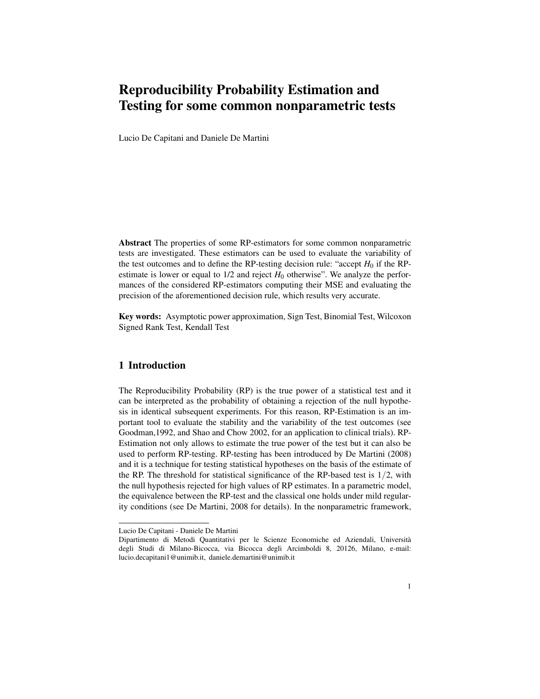# Reproducibility Probability Estimation and Testing for some common nonparametric tests

Lucio De Capitani and Daniele De Martini

Abstract The properties of some RP-estimators for some common nonparametric tests are investigated. These estimators can be used to evaluate the variability of the test outcomes and to define the RP-testing decision rule: "accept  $H_0$  if the RPestimate is lower or equal to  $1/2$  and reject  $H_0$  otherwise". We analyze the performances of the considered RP-estimators computing their MSE and evaluating the precision of the aforementioned decision rule, which results very accurate.

Key words: Asymptotic power approximation, Sign Test, Binomial Test, Wilcoxon Signed Rank Test, Kendall Test

# 1 Introduction

The Reproducibility Probability (RP) is the true power of a statistical test and it can be interpreted as the probability of obtaining a rejection of the null hypothesis in identical subsequent experiments. For this reason, RP-Estimation is an important tool to evaluate the stability and the variability of the test outcomes (see Goodman,1992, and Shao and Chow 2002, for an application to clinical trials). RP-Estimation not only allows to estimate the true power of the test but it can also be used to perform RP-testing. RP-testing has been introduced by De Martini (2008) and it is a technique for testing statistical hypotheses on the basis of the estimate of the RP. The threshold for statistical significance of the RP-based test is  $1/2$ , with the null hypothesis rejected for high values of RP estimates. In a parametric model, the equivalence between the RP-test and the classical one holds under mild regularity conditions (see De Martini, 2008 for details). In the nonparametric framework,

Lucio De Capitani - Daniele De Martini

Dipartimento di Metodi Quantitativi per le Scienze Economiche ed Aziendali, Universita` degli Studi di Milano-Bicocca, via Bicocca degli Arcimboldi 8, 20126, Milano, e-mail: lucio.decapitani1@unimib.it, daniele.demartini@unimib.it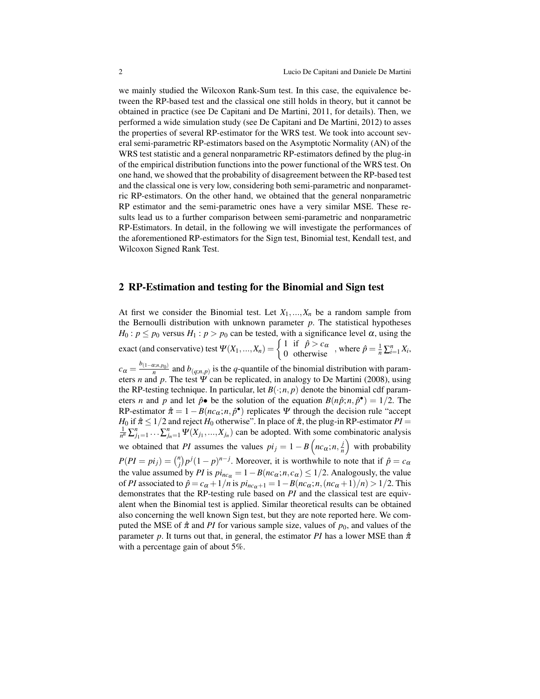we mainly studied the Wilcoxon Rank-Sum test. In this case, the equivalence between the RP-based test and the classical one still holds in theory, but it cannot be obtained in practice (see De Capitani and De Martini, 2011, for details). Then, we performed a wide simulation study (see De Capitani and De Martini, 2012) to asses the properties of several RP-estimator for the WRS test. We took into account several semi-parametric RP-estimators based on the Asymptotic Normality (AN) of the WRS test statistic and a general nonparametric RP-estimators defined by the plug-in of the empirical distribution functions into the power functional of the WRS test. On one hand, we showed that the probability of disagreement between the RP-based test and the classical one is very low, considering both semi-parametric and nonparametric RP-estimators. On the other hand, we obtained that the general nonparametric RP estimator and the semi-parametric ones have a very similar MSE. These results lead us to a further comparison between semi-parametric and nonparametric RP-Estimators. In detail, in the following we will investigate the performances of the aforementioned RP-estimators for the Sign test, Binomial test, Kendall test, and Wilcoxon Signed Rank Test.

## 2 RP-Estimation and testing for the Binomial and Sign test

At first we consider the Binomial test. Let  $X_1, \ldots, X_n$  be a random sample from the Bernoulli distribution with unknown parameter *p*. The statistical hypotheses *H*<sub>0</sub> :  $p \le p_0$  versus *H*<sub>1</sub> :  $p > p_0$  can be tested, with a significance level  $\alpha$ , using the exact (and conservative) test  $\Psi(X_1,...,X_n) = \begin{cases} 1 & \text{if } \hat{p} > c_\alpha \\ 0 & \text{otherwise} \end{cases}$ , where  $\hat{p} = \frac{1}{n} \sum_{i=1}^n X_i$ ,  $c_{\alpha} = \frac{b_{(1-\alpha;n,p_0)}}{n}$  and  $b_{(q;n,p)}$  is the *q*-quantile of the binomial distribution with parameters *n* and *p*. The test  $\Psi$  can be replicated, in analogy to De Martini (2008), using the RP-testing technique. In particular, let  $B(\cdot; n, p)$  denote the binomial cdf parameters *n* and *p* and let  $\hat{p} \cdot \textbf{b}$  be the solution of the equation  $B(n\hat{p}; n, \hat{p} \cdot \textbf{b}) = 1/2$ . The RP-estimator  $\hat{\pi} = 1 - B(n c_{\alpha}; n, \hat{p}^{\bullet})$  replicates  $\Psi$  through the decision rule "accept" *H*<sub>0</sub> if  $\hat{\pi} \leq 1/2$  and reject *H*<sub>0</sub> otherwise". In place of  $\hat{\pi}$ , the plug-in RP-estimator *PI* =  $\frac{1}{n^n} \sum_{j_1=1}^n \cdots \sum_{j_n=1}^n \Psi(X_{j_1},...,X_{j_n})$  can be adopted. With some combinatoric analysis we obtained that *PI* assumes the values  $pi_j = 1 - B\left(n c_\alpha; n, \frac{j}{n}\right)$  $\left(\frac{j}{n}\right)$  with probability  $P(PI = pi_j) = {n \choose j} p^j (1-p)^{n-j}$ . Moreover, it is worthwhile to note that if  $\hat{p} = c_\alpha$ the value assumed by *PI* is  $pi_{nc\alpha} = 1 - B(n c_{\alpha}; n, c_{\alpha}) \leq 1/2$ . Analogously, the value of *PI* associated to  $\hat{p} = c_{\alpha} + 1/n$  is  $\pi p_{nc_{\alpha}+1} = 1 - B(n c_{\alpha}; n, (nc_{\alpha}+1)/n) > 1/2$ . This demonstrates that the RP-testing rule based on *PI* and the classical test are equivalent when the Binomial test is applied. Similar theoretical results can be obtained also concerning the well known Sign test, but they are note reported here. We computed the MSE of  $\hat{\pi}$  and *PI* for various sample size, values of  $p_0$ , and values of the parameter *p*. It turns out that, in general, the estimator *PI* has a lower MSE than  $\hat{\pi}$ with a percentage gain of about 5%.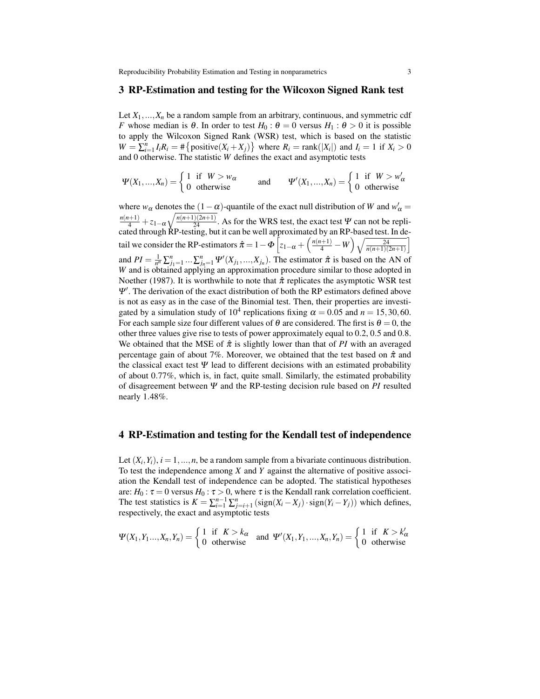#### 3 RP-Estimation and testing for the Wilcoxon Signed Rank test

Let  $X_1, \ldots, X_n$  be a random sample from an arbitrary, continuous, and symmetric cdf *F* whose median is  $\theta$ . In order to test  $H_0: \theta = 0$  versus  $H_1: \theta > 0$  it is possible to apply the Wilcoxon Signed Rank (WSR) test, which is based on the statistic  $W = \sum_{i=1}^{n} I_i R_i = # \{ positive(X_i + X_j)\}$  where  $R_i = rank(|X_i|)$  and  $I_i = 1$  if  $X_i > 0$ and 0 otherwise. The statistic *W* defines the exact and asymptotic tests

$$
\Psi(X_1,...,X_n) = \begin{cases} 1 & \text{if } W > w_\alpha \\ 0 & \text{otherwise} \end{cases} \quad \text{and} \quad \Psi'(X_1,...,X_n) = \begin{cases} 1 & \text{if } W > w'_\alpha \\ 0 & \text{otherwise} \end{cases}
$$

where  $w_\alpha$  denotes the  $(1-\alpha)$ -quantile of the exact null distribution of *W* and  $w'_\alpha =$  $\frac{n(n+1)}{4} + z_{1-\alpha}\sqrt{\frac{n(n+1)(2n+1)}{24}}$ . As for the WRS test, the exact test Ψ can not be replicated through RP-testing, but it can be well approximated by an RP-based test. In detail we consider the RP-estimators  $\hat{\pi} = 1 - \Phi \left[ z_{1-\alpha} + \left( \frac{n(n+1)}{4} - W \right) \sqrt{\frac{24}{n(n+1)(2n+1)}} \right]$ and  $PI = \frac{1}{n^n} \sum_{j_1=1}^n ... \sum_{j_n=1}^n \Psi'(X_{j_1},...,X_{j_n})$ . The estimator  $\hat{\pi}$  is based on the AN of *W* and is obtained applying an approximation procedure similar to those adopted in Noether (1987). It is worthwhile to note that  $\hat{\pi}$  replicates the asymptotic WSR test Ψ'. The derivation of the exact distribution of both the RP estimators defined above is not as easy as in the case of the Binomial test. Then, their properties are investigated by a simulation study of  $10^4$  replications fixing  $\alpha = 0.05$  and  $n = 15,30,60$ . For each sample size four different values of  $\theta$  are considered. The first is  $\theta = 0$ , the other three values give rise to tests of power approximately equal to 0.2, 0.5 and 0.8. We obtained that the MSE of  $\hat{\pi}$  is slightly lower than that of *PI* with an averaged percentage gain of about 7%. Moreover, we obtained that the test based on  $\hat{\pi}$  and the classical exact test  $\Psi$  lead to different decisions with an estimated probability of about 0.77%, which is, in fact, quite small. Similarly, the estimated probability of disagreement between Ψ and the RP-testing decision rule based on *PI* resulted nearly 1.48%.

#### 4 RP-Estimation and testing for the Kendall test of independence

Let  $(X_i, Y_i)$ ,  $i = 1, ..., n$ , be a random sample from a bivariate continuous distribution. To test the independence among *X* and *Y* against the alternative of positive association the Kendall test of independence can be adopted. The statistical hypotheses are:  $H_0: \tau = 0$  versus  $H_0: \tau > 0$ , where  $\tau$  is the Kendall rank correlation coefficient. The test statistics is  $K = \sum_{i=1}^{n-1} \sum_{j=i+1}^{n} (sign(X_i - X_j) \cdot sign(Y_i - Y_j))$  which defines, respectively, the exact and asymptotic tests

$$
\Psi(X_1, Y_1, \dots, X_n, Y_n) = \begin{cases} 1 & \text{if } K > k_\alpha \\ 0 & \text{otherwise} \end{cases} \text{ and } \Psi'(X_1, Y_1, \dots, X_n, Y_n) = \begin{cases} 1 & \text{if } K > k'_\alpha \\ 0 & \text{otherwise} \end{cases}
$$